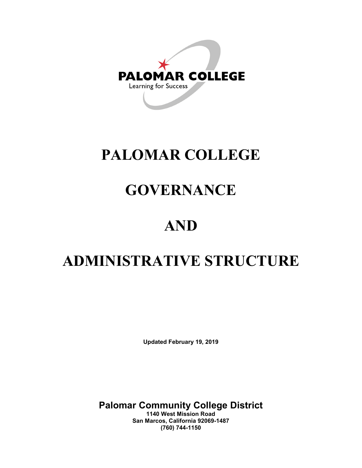

# **PALOMAR COLLEGE**

## **GOVERNANCE**

## **AND**

## **ADMINISTRATIVE STRUCTURE**

**Updated February 19, 2019**

**Palomar Community College District**

**1140 West Mission Road San Marcos, California 92069-1487 (760) 744-1150**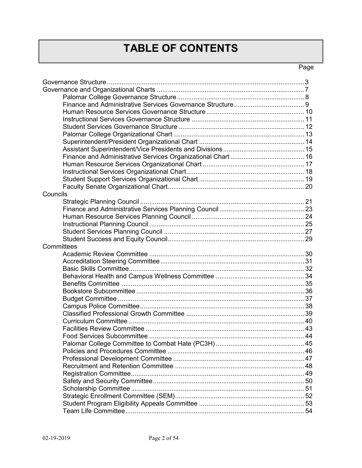## **TABLE OF CONTENTS**

### Page

| Councils   |  |
|------------|--|
|            |  |
|            |  |
|            |  |
|            |  |
|            |  |
|            |  |
| Committees |  |
|            |  |
|            |  |
|            |  |
|            |  |
|            |  |
|            |  |
|            |  |
|            |  |
|            |  |
|            |  |
|            |  |
|            |  |
|            |  |
|            |  |
|            |  |
|            |  |
|            |  |
|            |  |
|            |  |
|            |  |
|            |  |
|            |  |
|            |  |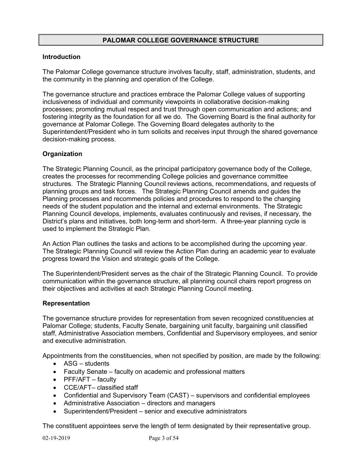#### **PALOMAR COLLEGE GOVERNANCE STRUCTURE**

#### **Introduction**

The Palomar College governance structure involves faculty, staff, administration, students, and the community in the planning and operation of the College.

The governance structure and practices embrace the Palomar College values of supporting inclusiveness of individual and community viewpoints in collaborative decision-making processes; promoting mutual respect and trust through open communication and actions; and fostering integrity as the foundation for all we do. The Governing Board is the final authority for governance at Palomar College. The Governing Board delegates authority to the Superintendent/President who in turn solicits and receives input through the shared governance decision-making process.

#### **Organization**

The Strategic Planning Council, as the principal participatory governance body of the College, creates the processes for recommending College policies and governance committee structures. The Strategic Planning Council reviews actions, recommendations, and requests of planning groups and task forces. The Strategic Planning Council amends and guides the Planning processes and recommends policies and procedures to respond to the changing needs of the student population and the internal and external environments. The Strategic Planning Council develops, implements, evaluates continuously and revises, if necessary, the District's plans and initiatives, both long-term and short-term. A three-year planning cycle is used to implement the Strategic Plan.

An Action Plan outlines the tasks and actions to be accomplished during the upcoming year. The Strategic Planning Council will review the Action Plan during an academic year to evaluate progress toward the Vision and strategic goals of the College.

The Superintendent/President serves as the chair of the Strategic Planning Council. To provide communication within the governance structure, all planning council chairs report progress on their objectives and activities at each Strategic Planning Council meeting.

#### **Representation**

The governance structure provides for representation from seven recognized constituencies at Palomar College; students, Faculty Senate, bargaining unit faculty, bargaining unit classified staff, Administrative Association members, Confidential and Supervisory employees, and senior and executive administration.

Appointments from the constituencies, when not specified by position, are made by the following:

- ASG students
- Faculty Senate faculty on academic and professional matters
- PFF/AFT faculty
- CCE/AFT– classified staff
- Confidential and Supervisory Team (CAST) supervisors and confidential employees
- Administrative Association directors and managers
- Superintendent/President senior and executive administrators

The constituent appointees serve the length of term designated by their representative group.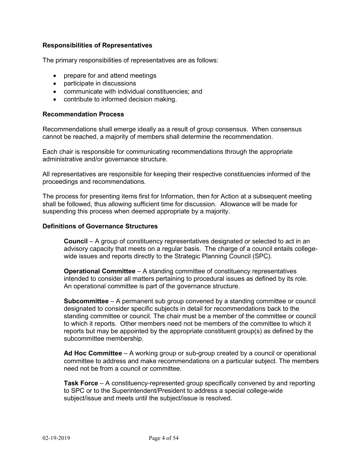#### **Responsibilities of Representatives**

The primary responsibilities of representatives are as follows:

- prepare for and attend meetings
- participate in discussions
- communicate with individual constituencies; and
- contribute to informed decision making.

#### **Recommendation Process**

Recommendations shall emerge ideally as a result of group consensus. When consensus cannot be reached, a majority of members shall determine the recommendation.

Each chair is responsible for communicating recommendations through the appropriate administrative and/or governance structure.

All representatives are responsible for keeping their respective constituencies informed of the proceedings and recommendations.

The process for presenting items first for Information, then for Action at a subsequent meeting shall be followed, thus allowing sufficient time for discussion. Allowance will be made for suspending this process when deemed appropriate by a majority.

#### **Definitions of Governance Structures**

**Council** – A group of constituency representatives designated or selected to act in an advisory capacity that meets on a regular basis. The charge of a council entails collegewide issues and reports directly to the Strategic Planning Council (SPC).

**Operational Committee** – A standing committee of constituency representatives intended to consider all matters pertaining to procedural issues as defined by its role. An operational committee is part of the governance structure.

**Subcommittee** – A permanent sub group convened by a standing committee or council designated to consider specific subjects in detail for recommendations back to the standing committee or council. The chair must be a member of the committee or council to which it reports. Other members need not be members of the committee to which it reports but may be appointed by the appropriate constituent group(s) as defined by the subcommittee membership.

**Ad Hoc Committee** – A working group or sub-group created by a council or operational committee to address and make recommendations on a particular subject. The members need not be from a council or committee.

**Task Force** – A constituency-represented group specifically convened by and reporting to SPC or to the Superintendent/President to address a special college-wide subject/issue and meets until the subject/issue is resolved.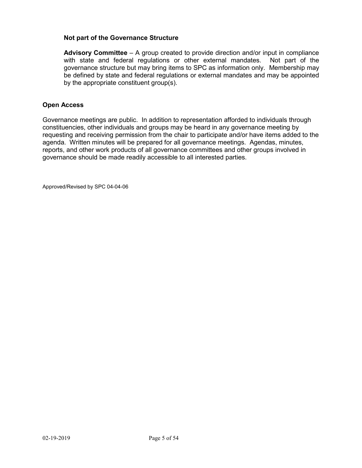#### **Not part of the Governance Structure**

**Advisory Committee** – A group created to provide direction and/or input in compliance with state and federal regulations or other external mandates. Not part of the governance structure but may bring items to SPC as information only. Membership may be defined by state and federal regulations or external mandates and may be appointed by the appropriate constituent group(s).

#### **Open Access**

Governance meetings are public. In addition to representation afforded to individuals through constituencies, other individuals and groups may be heard in any governance meeting by requesting and receiving permission from the chair to participate and/or have items added to the agenda. Written minutes will be prepared for all governance meetings. Agendas, minutes, reports, and other work products of all governance committees and other groups involved in governance should be made readily accessible to all interested parties.

Approved/Revised by SPC 04-04-06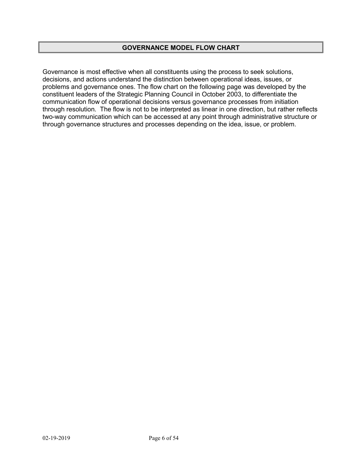#### **GOVERNANCE MODEL FLOW CHART**

Governance is most effective when all constituents using the process to seek solutions, decisions, and actions understand the distinction between operational ideas, issues, or problems and governance ones. The flow chart on the following page was developed by the constituent leaders of the Strategic Planning Council in October 2003, to differentiate the communication flow of operational decisions versus governance processes from initiation through resolution. The flow is not to be interpreted as linear in one direction, but rather reflects two-way communication which can be accessed at any point through administrative structure or through governance structures and processes depending on the idea, issue, or problem.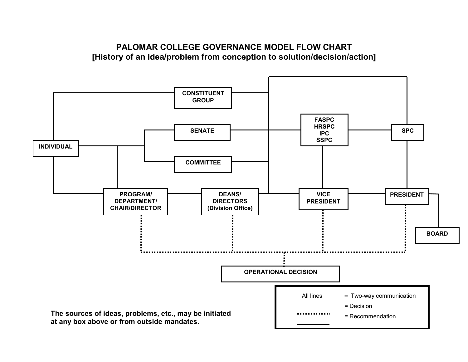## **PALOMAR COLLEGE GOVERNANCE MODEL FLOW CHART [History of an idea/problem from conception to solution/decision/action]**

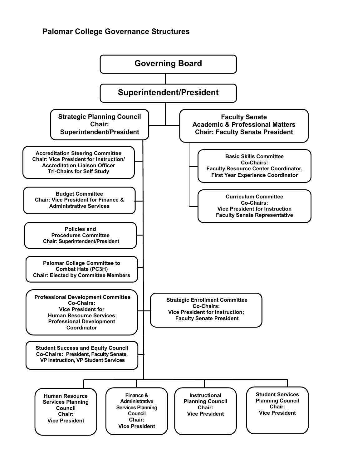### **Palomar College Governance Structures**

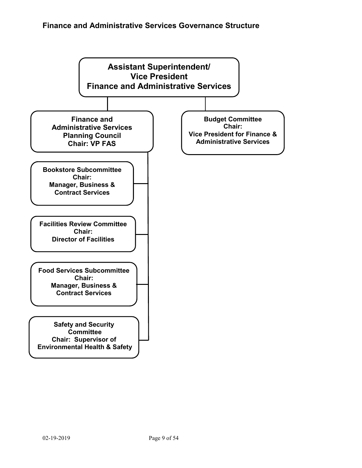## **Finance and Administrative Services Governance Structure**

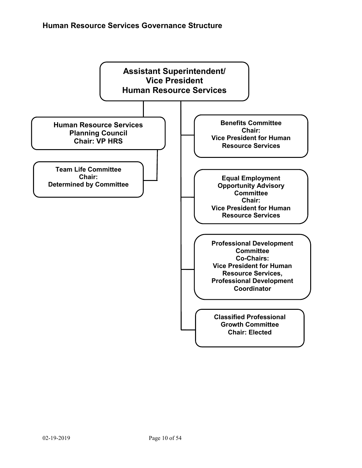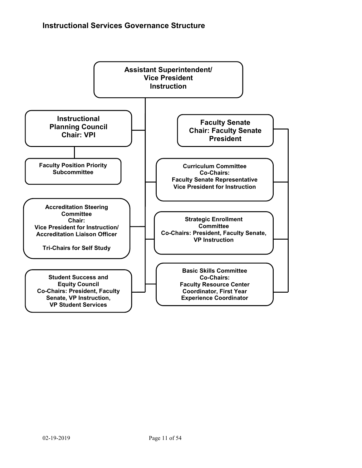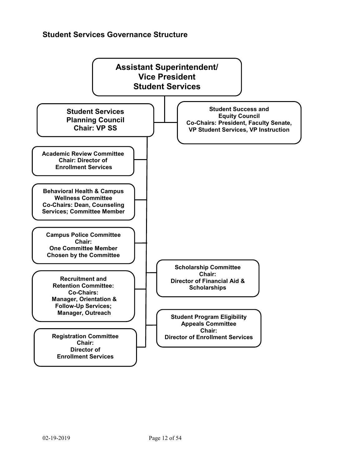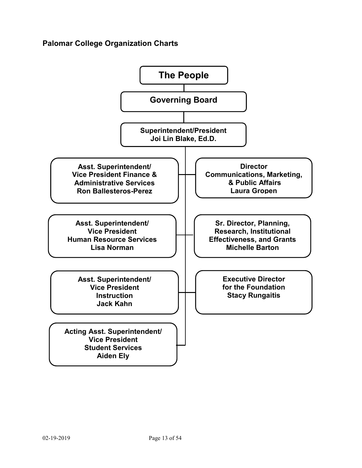## **Palomar College Organization Charts**

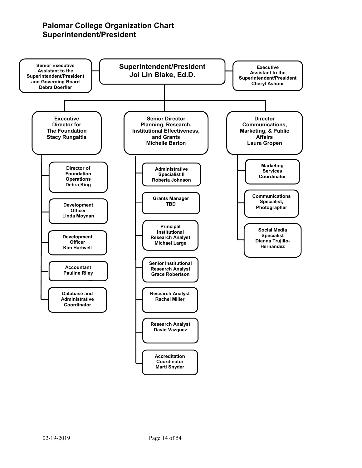## **Palomar College Organization Chart Superintendent/President**

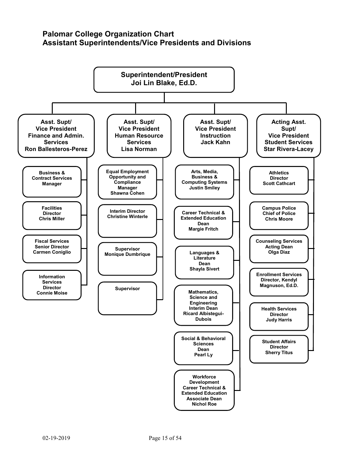### **Palomar College Organization Chart Assistant Superintendents/Vice Presidents and Divisions**

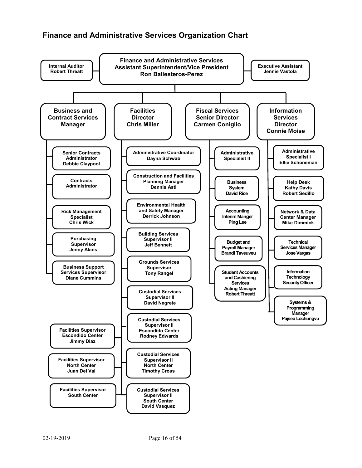## **Finance and Administrative Services Organization Chart**

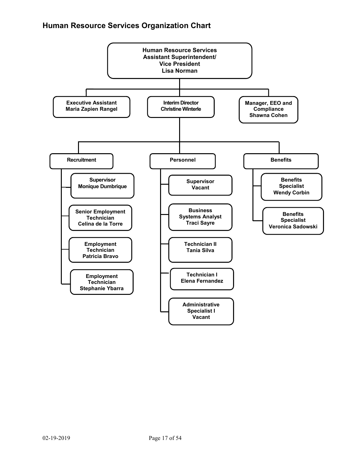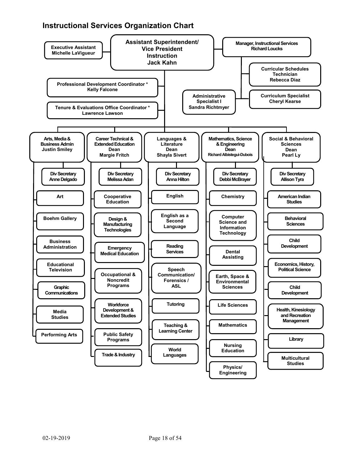## **Instructional Services Organization Chart**

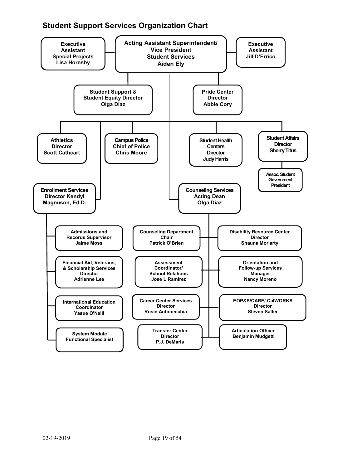## **Student Support Services Organization Chart**

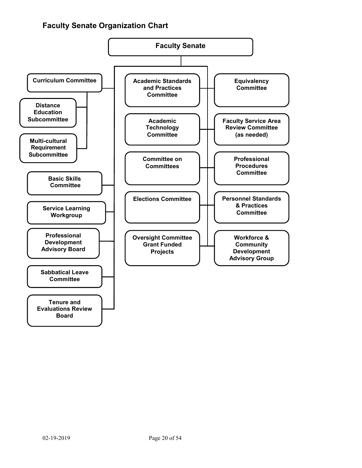## **Faculty Senate Organization Chart**

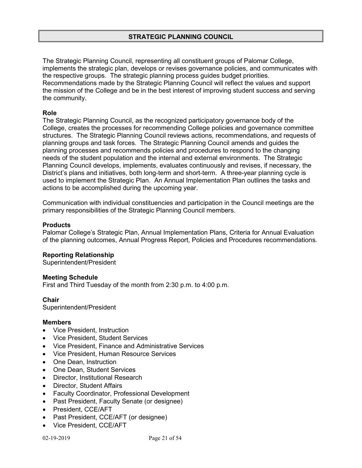The Strategic Planning Council, representing all constituent groups of Palomar College, implements the strategic plan, develops or revises governance policies, and communicates with the respective groups. The strategic planning process guides budget priorities. Recommendations made by the Strategic Planning Council will reflect the values and support the mission of the College and be in the best interest of improving student success and serving the community.

#### **Role**

The Strategic Planning Council, as the recognized participatory governance body of the College, creates the processes for recommending College policies and governance committee structures. The Strategic Planning Council reviews actions, recommendations, and requests of planning groups and task forces. The Strategic Planning Council amends and guides the planning processes and recommends policies and procedures to respond to the changing needs of the student population and the internal and external environments. The Strategic Planning Council develops, implements, evaluates continuously and revises, if necessary, the District's plans and initiatives, both long-term and short-term. A three-year planning cycle is used to implement the Strategic Plan. An Annual Implementation Plan outlines the tasks and actions to be accomplished during the upcoming year.

Communication with individual constituencies and participation in the Council meetings are the primary responsibilities of the Strategic Planning Council members.

#### **Products**

Palomar College's Strategic Plan, Annual Implementation Plans, Criteria for Annual Evaluation of the planning outcomes, Annual Progress Report, Policies and Procedures recommendations.

#### **Reporting Relationship**

Superintendent/President

#### **Meeting Schedule**

First and Third Tuesday of the month from 2:30 p.m. to 4:00 p.m.

#### **Chair**

Superintendent/President

#### **Members**

- Vice President, Instruction
- Vice President, Student Services
- Vice President, Finance and Administrative Services
- Vice President, Human Resource Services
- One Dean, Instruction
- One Dean, Student Services
- Director, Institutional Research
- Director, Student Affairs
- Faculty Coordinator, Professional Development
- Past President, Faculty Senate (or designee)
- President, CCE/AFT
- Past President, CCE/AFT (or designee)
- Vice President, CCE/AFT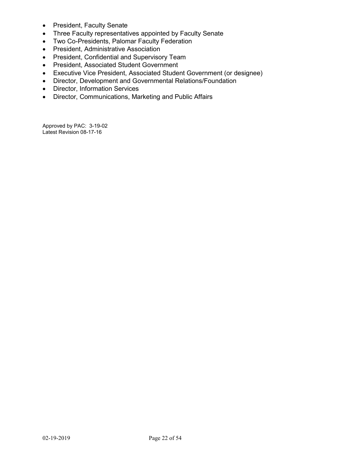- President, Faculty Senate
- Three Faculty representatives appointed by Faculty Senate
- Two Co-Presidents, Palomar Faculty Federation
- President, Administrative Association
- President, Confidential and Supervisory Team
- President, Associated Student Government
- Executive Vice President, Associated Student Government (or designee)
- Director, Development and Governmental Relations/Foundation
- Director, Information Services
- Director, Communications, Marketing and Public Affairs

Approved by PAC: 3-19-02 Latest Revision 08-17-16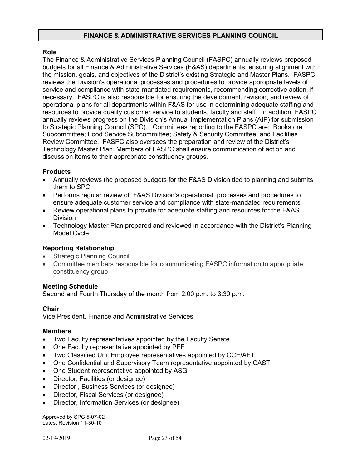#### **FINANCE & ADMINISTRATIVE SERVICES PLANNING COUNCIL**

#### **Role**

The Finance & Administrative Services Planning Council (FASPC) annually reviews proposed budgets for all Finance & Administrative Services (F&AS) departments, ensuring alignment with the mission, goals, and objectives of the District's existing Strategic and Master Plans. FASPC reviews the Division's operational processes and procedures to provide appropriate levels of service and compliance with state-mandated requirements, recommending corrective action, if necessary. FASPC is also responsible for ensuring the development, revision, and review of operational plans for all departments within F&AS for use in determining adequate staffing and resources to provide quality customer service to students, faculty and staff. In addition, FASPC annually reviews progress on the Division's Annual Implementation Plans (AIP) for submission to Strategic Planning Council (SPC). Committees reporting to the FASPC are: Bookstore Subcommittee; Food Service Subcommittee; Safety & Security Committee; and Facilities Review Committee. FASPC also oversees the preparation and review of the District's Technology Master Plan. Members of FASPC shall ensure communication of action and discussion items to their appropriate constituency groups.

#### **Products**

- Annually reviews the proposed budgets for the F&AS Division tied to planning and submits them to SPC
- Performs regular review of F&AS Division's operational processes and procedures to ensure adequate customer service and compliance with state-mandated requirements
- Review operational plans to provide for adequate staffing and resources for the F&AS Division
- Technology Master Plan prepared and reviewed in accordance with the District's Planning Model Cycle

#### **Reporting Relationship**

- **Strategic Planning Council**
- Committee members responsible for communicating FASPC information to appropriate constituency group

#### ` **Meeting Schedule**

Second and Fourth Thursday of the month from 2:00 p.m. to 3:30 p.m.

#### **Chair**

Vice President, Finance and Administrative Services

#### **Members**

- Two Faculty representatives appointed by the Faculty Senate
- One Faculty representative appointed by PFF
- Two Classified Unit Employee representatives appointed by CCE/AFT
- One Confidential and Supervisory Team representative appointed by CAST
- One Student representative appointed by ASG
- Director, Facilities (or designee)
- Director , Business Services (or designee)
- Director, Fiscal Services (or designee)
- Director, Information Services (or designee)

Approved by SPC 5-07-02 Latest Revision 11-30-10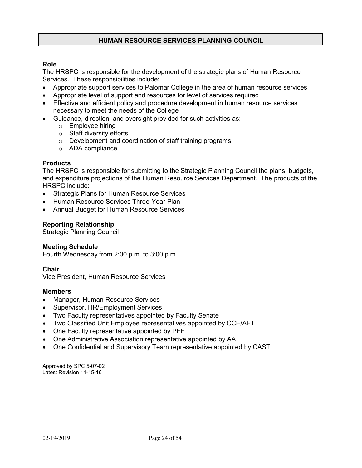#### **HUMAN RESOURCE SERVICES PLANNING COUNCIL**

#### **Role**

The HRSPC is responsible for the development of the strategic plans of Human Resource Services. These responsibilities include:

- Appropriate support services to Palomar College in the area of human resource services
- Appropriate level of support and resources for level of services required
- Effective and efficient policy and procedure development in human resource services necessary to meet the needs of the College
- Guidance, direction, and oversight provided for such activities as:
	- o Employee hiring
	- o Staff diversity efforts
	- o Development and coordination of staff training programs
	- o ADA compliance

#### **Products**

The HRSPC is responsible for submitting to the Strategic Planning Council the plans, budgets, and expenditure projections of the Human Resource Services Department. The products of the HRSPC include:

- Strategic Plans for Human Resource Services
- Human Resource Services Three-Year Plan
- Annual Budget for Human Resource Services

#### **Reporting Relationship**

Strategic Planning Council

#### **Meeting Schedule**

Fourth Wednesday from 2:00 p.m. to 3:00 p.m.

#### **Chair**

Vice President, Human Resource Services

#### **Members**

- Manager, Human Resource Services
- Supervisor, HR/Employment Services
- Two Faculty representatives appointed by Faculty Senate
- Two Classified Unit Employee representatives appointed by CCE/AFT
- One Faculty representative appointed by PFF
- One Administrative Association representative appointed by AA
- One Confidential and Supervisory Team representative appointed by CAST

Approved by SPC 5-07-02 Latest Revision 11-15-16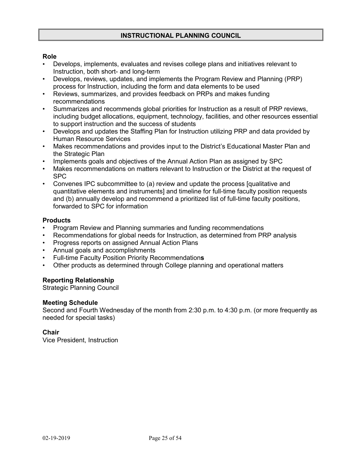#### **INSTRUCTIONAL PLANNING COUNCIL**

#### **Role**

- Develops, implements, evaluates and revises college plans and initiatives relevant to Instruction, both short- and long-term
- Develops, reviews, updates, and implements the Program Review and Planning (PRP) process for Instruction, including the form and data elements to be used
- Reviews, summarizes, and provides feedback on PRPs and makes funding recommendations
- Summarizes and recommends global priorities for Instruction as a result of PRP reviews, including budget allocations, equipment, technology, facilities, and other resources essential to support instruction and the success of students
- Develops and updates the Staffing Plan for Instruction utilizing PRP and data provided by Human Resource Services
- Makes recommendations and provides input to the District's Educational Master Plan and the Strategic Plan
- Implements goals and objectives of the Annual Action Plan as assigned by SPC
- Makes recommendations on matters relevant to Instruction or the District at the request of SPC
- Convenes IPC subcommittee to (a) review and update the process [qualitative and quantitative elements and instruments] and timeline for full-time faculty position requests and (b) annually develop and recommend a prioritized list of full-time faculty positions, forwarded to SPC for information

#### **Products**

- Program Review and Planning summaries and funding recommendations
- Recommendations for global needs for Instruction, as determined from PRP analysis
- Progress reports on assigned Annual Action Plans
- Annual goals and accomplishments
- Full-time Faculty Position Priority Recommendation**s**
- Other products as determined through College planning and operational matters

#### **Reporting Relationship**

Strategic Planning Council

#### **Meeting Schedule**

Second and Fourth Wednesday of the month from 2:30 p.m. to 4:30 p.m. (or more frequently as needed for special tasks)

#### **Chair**

Vice President, Instruction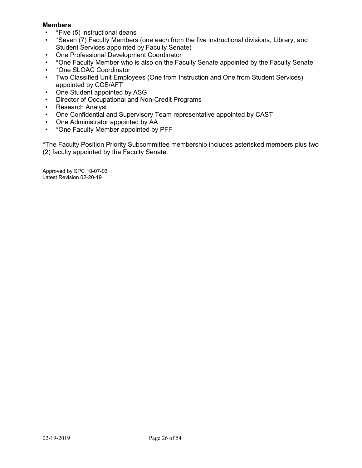#### **Members**

- \*Five (5) instructional deans
- \*Seven (7) Faculty Members (one each from the five instructional divisions, Library, and Student Services appointed by Faculty Senate)
- One Professional Development Coordinator
- \*One Faculty Member who is also on the Faculty Senate appointed by the Faculty Senate
- \*One SLOAC Coordinator
- Two Classified Unit Employees (One from Instruction and One from Student Services) appointed by CCE/AFT
- One Student appointed by ASG
- Director of Occupational and Non-Credit Programs
- Research Analyst
- One Confidential and Supervisory Team representative appointed by CAST
- One Administrator appointed by AA
- \*One Faculty Member appointed by PFF

\*The Faculty Position Priority Subcommittee membership includes asterisked members plus two (2) faculty appointed by the Faculty Senate.

Approved by SPC 10-07-03 Latest Revision 02-20-19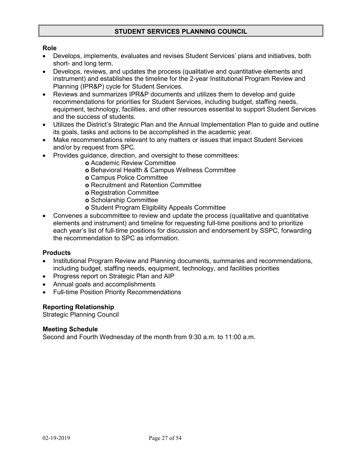#### **STUDENT SERVICES PLANNING COUNCIL**

#### **Role**

- Develops, implements, evaluates and revises Student Services' plans and initiatives, both short- and long term.
- Develops, reviews, and updates the process (qualitative and quantitative elements and instrument) and establishes the timeline for the 2-year Institutional Program Review and Planning (IPR&P) cycle for Student Services.
- Reviews and summarizes IPR&P documents and utilizes them to develop and guide recommendations for priorities for Student Services, including budget, staffing needs, equipment, technology, facilities, and other resources essential to support Student Services and the success of students.
- Utilizes the District's Strategic Plan and the Annual Implementation Plan to guide and outline its goals, tasks and actions to be accomplished in the academic year.
- Make recommendations relevant to any matters or issues that impact Student Services and/or by request from SPC.
- Provides guidance, direction, and oversight to these committees:
	- **o** Academic Review Committee
	- **o** Behavioral Health & Campus Wellness Committee
	- **o** Campus Police Committee
	- **o** Recruitment and Retention Committee
	- **o** Registration Committee
	- **o** Scholarship Committee
	- **o** Student Program Eligibility Appeals Committee
- Convenes a subcommittee to review and update the process (qualitative and quantitative elements and instrument) and timeline for requesting full-time positions and to prioritize each year's list of full-time positions for discussion and endorsement by SSPC, forwarding the recommendation to SPC as information.

#### **Products**

- Institutional Program Review and Planning documents, summaries and recommendations, including budget, staffing needs, equipment, technology, and facilities priorities
- Progress report on Strategic Plan and AIP
- Annual goals and accomplishments
- Full-time Position Priority Recommendations

#### **Reporting Relationship**

Strategic Planning Council

#### **Meeting Schedule**

Second and Fourth Wednesday of the month from 9:30 a.m. to 11:00 a.m.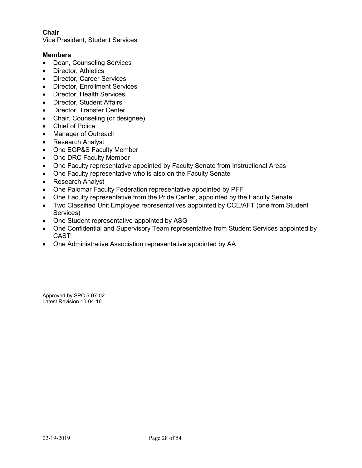#### **Chair**

Vice President, Student Services

#### **Members**

- Dean, Counseling Services
- Director, Athletics
- Director, Career Services
- Director, Enrollment Services
- Director, Health Services
- Director, Student Affairs
- Director, Transfer Center
- Chair, Counseling (or designee)
- Chief of Police
- Manager of Outreach
- Research Analyst
- One EOP&S Faculty Member
- One DRC Faculty Member
- One Faculty representative appointed by Faculty Senate from Instructional Areas
- One Faculty representative who is also on the Faculty Senate
- Research Analyst
- One Palomar Faculty Federation representative appointed by PFF
- One Faculty representative from the Pride Center, appointed by the Faculty Senate
- Two Classified Unit Employee representatives appointed by CCE/AFT (one from Student Services)
- One Student representative appointed by ASG
- One Confidential and Supervisory Team representative from Student Services appointed by CAST
- One Administrative Association representative appointed by AA

Approved by SPC 5-07-02 Latest Revision 10-04-16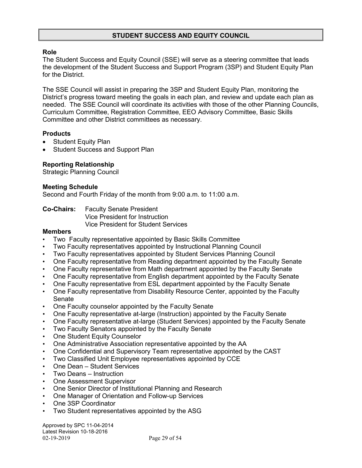#### **STUDENT SUCCESS AND EQUITY COUNCIL**

#### **Role**

The Student Success and Equity Council (SSE) will serve as a steering committee that leads the development of the Student Success and Support Program (3SP) and Student Equity Plan for the District.

The SSE Council will assist in preparing the 3SP and Student Equity Plan, monitoring the District's progress toward meeting the goals in each plan, and review and update each plan as needed. The SSE Council will coordinate its activities with those of the other Planning Councils, Curriculum Committee, Registration Committee, EEO Advisory Committee, Basic Skills Committee and other District committees as necessary.

#### **Products**

- Student Equity Plan
- Student Success and Support Plan

#### **Reporting Relationship**

Strategic Planning Council

#### **Meeting Schedule**

Second and Fourth Friday of the month from 9:00 a.m. to 11:00 a.m.

**Co-Chairs:** Faculty Senate President Vice President for Instruction Vice President for Student Services

#### **Members**

- Two Faculty representative appointed by Basic Skills Committee
- Two Faculty representatives appointed by Instructional Planning Council
- Two Faculty representatives appointed by Student Services Planning Council
- One Faculty representative from Reading department appointed by the Faculty Senate
- One Faculty representative from Math department appointed by the Faculty Senate
- One Faculty representative from English department appointed by the Faculty Senate
- One Faculty representative from ESL department appointed by the Faculty Senate
- One Faculty representative from Disability Resource Center, appointed by the Faculty Senate
- One Faculty counselor appointed by the Faculty Senate
- One Faculty representative at-large (Instruction) appointed by the Faculty Senate
- One Faculty representative at-large (Student Services) appointed by the Faculty Senate
- Two Faculty Senators appointed by the Faculty Senate
- One Student Equity Counselor
- One Administrative Association representative appointed by the AA
- One Confidential and Supervisory Team representative appointed by the CAST
- Two Classified Unit Employee representatives appointed by CCE
- One Dean Student Services
- Two Deans Instruction
- One Assessment Supervisor
- One Senior Director of Institutional Planning and Research
- One Manager of Orientation and Follow-up Services
- One 3SP Coordinator
- Two Student representatives appointed by the ASG

02-19-2019 Page 29 of 54 Approved by SPC 11-04-2014 Latest Revision 10-18-2016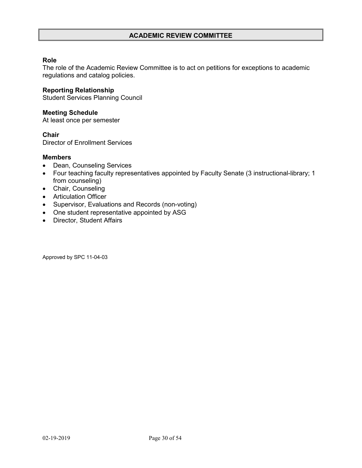#### **ACADEMIC REVIEW COMMITTEE**

#### **Role**

The role of the Academic Review Committee is to act on petitions for exceptions to academic regulations and catalog policies.

#### **Reporting Relationship**

Student Services Planning Council

#### **Meeting Schedule**

At least once per semester

#### **Chair**

Director of Enrollment Services

#### **Members**

- Dean, Counseling Services
- Four teaching faculty representatives appointed by Faculty Senate (3 instructional-library; 1 from counseling)
- Chair, Counseling
- Articulation Officer
- Supervisor, Evaluations and Records (non-voting)
- One student representative appointed by ASG
- Director, Student Affairs

Approved by SPC 11-04-03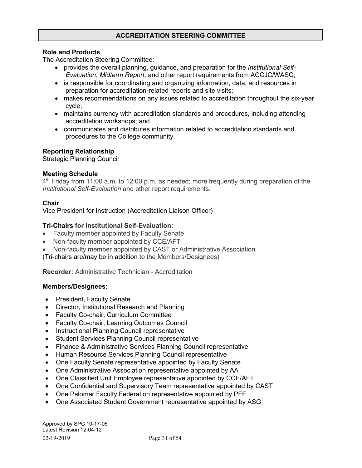### **ACCREDITATION STEERING COMMITTEE**

#### **Role and Products**

The Accreditation Steering Committee:

- provides the overall planning, guidance, and preparation for the *Institutional Self-Evaluation*, *Midterm Report*, and other report requirements from ACCJC/WASC;
- is responsible for coordinating and organizing information, data, and resources in preparation for accreditation-related reports and site visits;
- makes recommendations on any issues related to accreditation throughout the six-year cycle;
- maintains currency with accreditation standards and procedures, including attending accreditation workshops; and
- communicates and distributes information related to accreditation standards and procedures to the College community.

#### **Reporting Relationship**

Strategic Planning Council

#### **Meeting Schedule**

4<sup>th</sup> Friday from 11:00 a.m. to 12:00 p.m. as needed; more frequently during preparation of the *Institutional Self-Evaluation* and other report requirements.

#### **Chair**

Vice President for Instruction (Accreditation Liaison Officer)

#### **Tri-Chairs for Institutional Self-Evaluation:**

- Faculty member appointed by Faculty Senate
- Non-faculty member appointed by CCE/AFT
- Non-faculty member appointed by CAST or Administrative Association

(Tri-chairs are/may be in addition to the Members/Designees)

**Recorder:** Administrative Technician - Accreditation

#### **Members/Designees:**

- President, Faculty Senate
- Director, Institutional Research and Planning
- Faculty Co-chair, Curriculum Committee
- Faculty Co-chair, Learning Outcomes Council
- Instructional Planning Council representative
- Student Services Planning Council representative
- Finance & Administrative Services Planning Council representative
- Human Resource Services Planning Council representative
- One Faculty Senate representative appointed by Faculty Senate
- One Administrative Association representative appointed by AA
- One Classified Unit Employee representative appointed by CCE/AFT
- One Confidential and Supervisory Team representative appointed by CAST
- One Palomar Faculty Federation representative appointed by PFF
- One Associated Student Government representative appointed by ASG

02-19-2019 Page 31 of 54 Approved by SPC 10-17-06 Latest Revision 12-04-12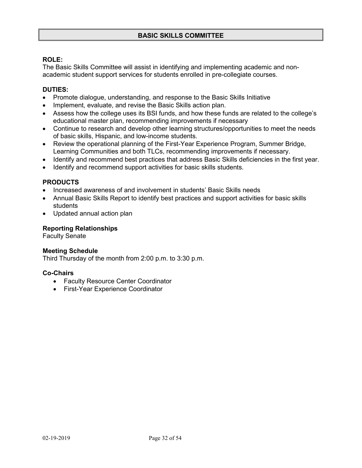#### **ROLE:**

The Basic Skills Committee will assist in identifying and implementing academic and nonacademic student support services for students enrolled in pre-collegiate courses.

#### **DUTIES:**

- Promote dialogue, understanding, and response to the Basic Skills Initiative
- Implement, evaluate, and revise the Basic Skills action plan.
- Assess how the college uses its BSI funds, and how these funds are related to the college's educational master plan, recommending improvements if necessary
- Continue to research and develop other learning structures/opportunities to meet the needs of basic skills, Hispanic, and low-income students.
- Review the operational planning of the First-Year Experience Program, Summer Bridge, Learning Communities and both TLCs, recommending improvements if necessary.
- Identify and recommend best practices that address Basic Skills deficiencies in the first year.
- Identify and recommend support activities for basic skills students.

#### **PRODUCTS**

- Increased awareness of and involvement in students' Basic Skills needs
- Annual Basic Skills Report to identify best practices and support activities for basic skills students
- Updated annual action plan

#### **Reporting Relationships**

Faculty Senate

#### **Meeting Schedule**

Third Thursday of the month from 2:00 p.m. to 3:30 p.m.

#### **Co-Chairs**

- Faculty Resource Center Coordinator
- First-Year Experience Coordinator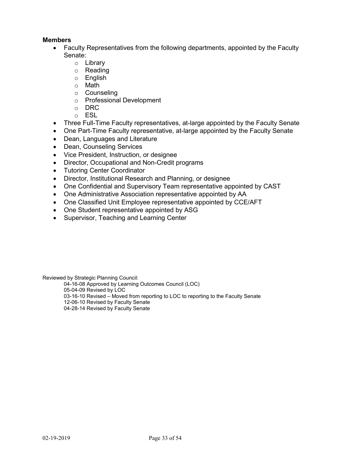#### **Members**

- Faculty Representatives from the following departments, appointed by the Faculty Senate:
	- o Library
	- o **Reading**<br>o English
	- English
	- o Math
	- o Counseling
	- o Professional Development
	- o DRC
	- o ESL
- Three Full-Time Faculty representatives, at-large appointed by the Faculty Senate
- One Part-Time Faculty representative, at-large appointed by the Faculty Senate
- Dean, Languages and Literature
- Dean, Counseling Services
- Vice President, Instruction, or designee
- Director, Occupational and Non-Credit programs
- Tutoring Center Coordinator
- Director, Institutional Research and Planning, or designee
- One Confidential and Supervisory Team representative appointed by CAST
- One Administrative Association representative appointed by AA
- One Classified Unit Employee representative appointed by CCE/AFT
- One Student representative appointed by ASG
- Supervisor, Teaching and Learning Center

Reviewed by Strategic Planning Council:

04-16-08 Approved by Learning Outcomes Council (LOC)

05-04-09 Revised by LOC

03-16-10 Revised – Moved from reporting to LOC to reporting to the Faculty Senate

- 12-06-10 Revised by Faculty Senate
- 04-28-14 Revised by Faculty Senate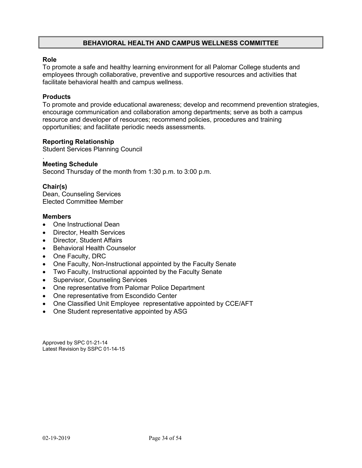#### **BEHAVIORAL HEALTH AND CAMPUS WELLNESS COMMITTEE**

#### **Role**

To promote a safe and healthy learning environment for all Palomar College students and employees through collaborative, preventive and supportive resources and activities that facilitate behavioral health and campus wellness.

#### **Products**

To promote and provide educational awareness; develop and recommend prevention strategies, encourage communication and collaboration among departments; serve as both a campus resource and developer of resources; recommend policies, procedures and training opportunities; and facilitate periodic needs assessments.

#### **Reporting Relationship**

Student Services Planning Council

#### . **Meeting Schedule**

Second Thursday of the month from 1:30 p.m. to 3:00 p.m.

#### **Chair(s)**

Dean, Counseling Services Elected Committee Member

#### **Members**

- One Instructional Dean
- Director, Health Services
- Director, Student Affairs
- Behavioral Health Counselor
- One Faculty, DRC
- One Faculty, Non-Instructional appointed by the Faculty Senate
- Two Faculty, Instructional appointed by the Faculty Senate
- Supervisor, Counseling Services
- One representative from Palomar Police Department
- One representative from Escondido Center
- One Classified Unit Employee representative appointed by CCE/AFT
- One Student representative appointed by ASG

Approved by SPC 01-21-14 Latest Revision by SSPC 01-14-15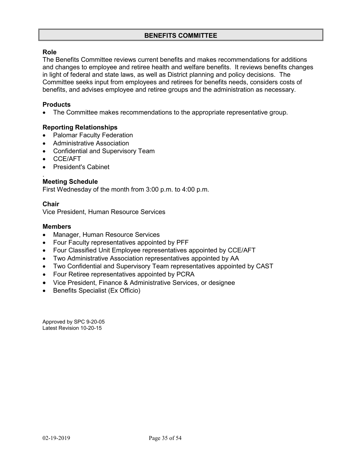#### **Role**

The Benefits Committee reviews current benefits and makes recommendations for additions and changes to employee and retiree health and welfare benefits. It reviews benefits changes in light of federal and state laws, as well as District planning and policy decisions. The Committee seeks input from employees and retirees for benefits needs, considers costs of benefits, and advises employee and retiree groups and the administration as necessary.

#### **Products**

• The Committee makes recommendations to the appropriate representative group.

#### **Reporting Relationships**

- Palomar Faculty Federation
- Administrative Association
- Confidential and Supervisory Team
- CCE/AFT
- President's Cabinet

#### . **Meeting Schedule**

First Wednesday of the month from 3:00 p.m. to 4:00 p.m.

#### **Chair**

Vice President, Human Resource Services

#### **Members**

- Manager, Human Resource Services
- Four Faculty representatives appointed by PFF
- Four Classified Unit Employee representatives appointed by CCE/AFT
- Two Administrative Association representatives appointed by AA
- Two Confidential and Supervisory Team representatives appointed by CAST
- Four Retiree representatives appointed by PCRA
- Vice President, Finance & Administrative Services, or designee
- Benefits Specialist (Ex Officio)

Approved by SPC 9-20-05 Latest Revision 10-20-15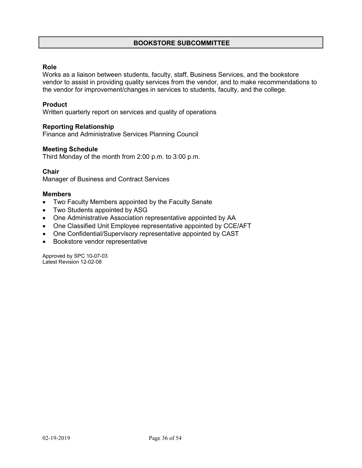#### **BOOKSTORE SUBCOMMITTEE**

#### **Role**

Works as a liaison between students, faculty, staff, Business Services, and the bookstore vendor to assist in providing quality services from the vendor, and to make recommendations to the vendor for improvement/changes in services to students, faculty, and the college.

#### **Product**

Written quarterly report on services and quality of operations

#### **Reporting Relationship**

Finance and Administrative Services Planning Council

#### **Meeting Schedule**

Third Monday of the month from 2:00 p.m. to 3:00 p.m.

#### **Chair**

Manager of Business and Contract Services

#### **Members**

- Two Faculty Members appointed by the Faculty Senate
- Two Students appointed by ASG
- One Administrative Association representative appointed by AA
- One Classified Unit Employee representative appointed by CCE/AFT
- One Confidential/Supervisory representative appointed by CAST
- Bookstore vendor representative

Approved by SPC 10-07-03 Latest Revision 12-02-08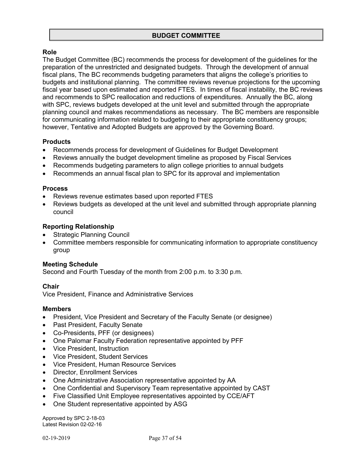#### **Role**

The Budget Committee (BC) recommends the process for development of the guidelines for the preparation of the unrestricted and designated budgets. Through the development of annual fiscal plans, The BC recommends budgeting parameters that aligns the college's priorities to budgets and institutional planning. The committee reviews revenue projections for the upcoming fiscal year based upon estimated and reported FTES. In times of fiscal instability, the BC reviews and recommends to SPC reallocation and reductions of expenditures. Annually the BC, along with SPC, reviews budgets developed at the unit level and submitted through the appropriate planning council and makes recommendations as necessary. The BC members are responsible for communicating information related to budgeting to their appropriate constituency groups; however, Tentative and Adopted Budgets are approved by the Governing Board.

#### **Products**

- Recommends process for development of Guidelines for Budget Development
- Reviews annually the budget development timeline as proposed by Fiscal Services
- Recommends budgeting parameters to align college priorities to annual budgets
- Recommends an annual fiscal plan to SPC for its approval and implementation

#### **Process**

- Reviews revenue estimates based upon reported FTES
- Reviews budgets as developed at the unit level and submitted through appropriate planning council

#### **Reporting Relationship**

- Strategic Planning Council
- Committee members responsible for communicating information to appropriate constituency group

#### **Meeting Schedule**

Second and Fourth Tuesday of the month from 2:00 p.m. to 3:30 p.m.

#### **Chair**

Vice President, Finance and Administrative Services

#### **Members**

- President, Vice President and Secretary of the Faculty Senate (or designee)
- Past President, Faculty Senate
- Co-Presidents, PFF (or designees)
- One Palomar Faculty Federation representative appointed by PFF
- Vice President, Instruction
- Vice President, Student Services
- Vice President, Human Resource Services
- Director, Enrollment Services
- One Administrative Association representative appointed by AA
- One Confidential and Supervisory Team representative appointed by CAST
- Five Classified Unit Employee representatives appointed by CCE/AFT
- One Student representative appointed by ASG

Approved by SPC 2-18-03 Latest Revision 02-02-16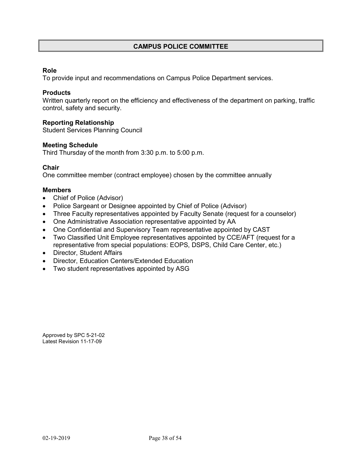#### **CAMPUS POLICE COMMITTEE**

#### **Role**

To provide input and recommendations on Campus Police Department services.

#### **Products**

Written quarterly report on the efficiency and effectiveness of the department on parking, traffic control, safety and security.

#### **Reporting Relationship**

Student Services Planning Council

#### **Meeting Schedule**

Third Thursday of the month from 3:30 p.m. to 5:00 p.m.

#### **Chair**

One committee member (contract employee) chosen by the committee annually

#### **Members**

- Chief of Police (Advisor)
- Police Sargeant or Designee appointed by Chief of Police (Advisor)
- Three Faculty representatives appointed by Faculty Senate (request for a counselor)
- One Administrative Association representative appointed by AA
- One Confidential and Supervisory Team representative appointed by CAST
- Two Classified Unit Employee representatives appointed by CCE/AFT (request for a representative from special populations: EOPS, DSPS, Child Care Center, etc.)
- Director, Student Affairs
- Director, Education Centers/Extended Education
- Two student representatives appointed by ASG

Approved by SPC 5-21-02 Latest Revision 11-17-09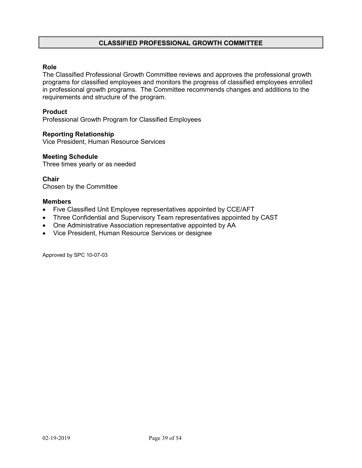#### **CLASSIFIED PROFESSIONAL GROWTH COMMITTEE**

#### **Role**

The Classified Professional Growth Committee reviews and approves the professional growth programs for classified employees and monitors the progress of classified employees enrolled in professional growth programs. The Committee recommends changes and additions to the requirements and structure of the program.

#### **Product**

Professional Growth Program for Classified Employees

#### **Reporting Relationship**

Vice President, Human Resource Services

#### **Meeting Schedule**

Three times yearly or as needed

**Chair** Chosen by the Committee

#### **Members**

- Five Classified Unit Employee representatives appointed by CCE/AFT
- Three Confidential and Supervisory Team representatives appointed by CAST
- One Administrative Association representative appointed by AA
- Vice President, Human Resource Services or designee

Approved by SPC 10-07-03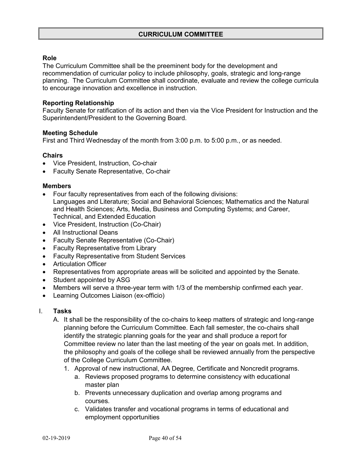#### **Role**

The Curriculum Committee shall be the preeminent body for the development and recommendation of curricular policy to include philosophy, goals, strategic and long-range planning. The Curriculum Committee shall coordinate, evaluate and review the college curricula to encourage innovation and excellence in instruction.

#### **Reporting Relationship**

Faculty Senate for ratification of its action and then via the Vice President for Instruction and the Superintendent/President to the Governing Board.

#### **Meeting Schedule**

First and Third Wednesday of the month from 3:00 p.m. to 5:00 p.m., or as needed.

#### **Chairs**

- Vice President, Instruction, Co-chair
- Faculty Senate Representative, Co-chair

#### **Members**

- Four faculty representatives from each of the following divisions: Languages and Literature; Social and Behavioral Sciences; Mathematics and the Natural and Health Sciences; Arts, Media, Business and Computing Systems; and Career, Technical, and Extended Education
- Vice President, Instruction (Co-Chair)
- All Instructional Deans
- Faculty Senate Representative (Co-Chair)
- Faculty Representative from Library
- Faculty Representative from Student Services
- Articulation Officer
- Representatives from appropriate areas will be solicited and appointed by the Senate.
- Student appointed by ASG
- Members will serve a three-year term with 1/3 of the membership confirmed each year.
- Learning Outcomes Liaison (ex-officio)

#### I. **Tasks**

- A. It shall be the responsibility of the co-chairs to keep matters of strategic and long-range planning before the Curriculum Committee. Each fall semester, the co-chairs shall identify the strategic planning goals for the year and shall produce a report for Committee review no later than the last meeting of the year on goals met. In addition, the philosophy and goals of the college shall be reviewed annually from the perspective of the College Curriculum Committee.
	- 1. Approval of new instructional, AA Degree, Certificate and Noncredit programs.
		- a. Reviews proposed programs to determine consistency with educational master plan
		- b. Prevents unnecessary duplication and overlap among programs and courses.
		- c. Validates transfer and vocational programs in terms of educational and employment opportunities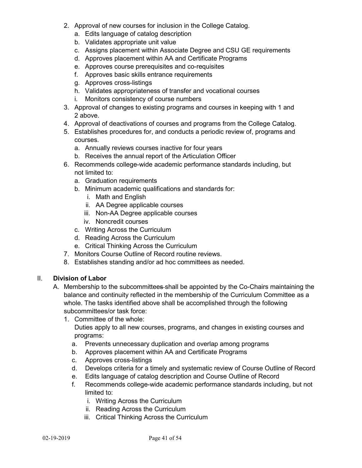- 2. Approval of new courses for inclusion in the College Catalog.
	- a. Edits language of catalog description
	- b. Validates appropriate unit value
	- c. Assigns placement within Associate Degree and CSU GE requirements
	- d. Approves placement within AA and Certificate Programs
	- e. Approves course prerequisites and co-requisites
	- f. Approves basic skills entrance requirements
	- g. Approves cross-listings
	- h. Validates appropriateness of transfer and vocational courses
	- i. Monitors consistency of course numbers
- 3. Approval of changes to existing programs and courses in keeping with 1 and 2 above.
- 4. Approval of deactivations of courses and programs from the College Catalog.
- 5. Establishes procedures for, and conducts a periodic review of, programs and courses.
	- a. Annually reviews courses inactive for four years
	- b. Receives the annual report of the Articulation Officer
- 6. Recommends college-wide academic performance standards including, but not limited to:
	- a. Graduation requirements
	- b. Minimum academic qualifications and standards for:
		- i. Math and English
		- ii. AA Degree applicable courses
		- iii. Non-AA Degree applicable courses
		- iv. Noncredit courses
	- c. Writing Across the Curriculum
	- d. Reading Across the Curriculum
	- e. Critical Thinking Across the Curriculum
- 7. Monitors Course Outline of Record routine reviews.
- 8. Establishes standing and/or ad hoc committees as needed.

#### II. **Division of Labor**

- A. Membership to the subcommittees shall be appointed by the Co-Chairs maintaining the balance and continuity reflected in the membership of the Curriculum Committee as a whole. The tasks identified above shall be accomplished through the following subcommittees/or task force:
	- 1. Committee of the whole: Duties apply to all new courses, programs, and changes in existing courses and programs:
		- a. Prevents unnecessary duplication and overlap among programs
		- b. Approves placement within AA and Certificate Programs
		- c. Approves cross-listings
		- d. Develops criteria for a timely and systematic review of Course Outline of Record
		- e. Edits language of catalog description and Course Outline of Record
		- f. Recommends college-wide academic performance standards including, but not limited to:
			- i. Writing Across the Curriculum
			- ii. Reading Across the Curriculum
			- iii. Critical Thinking Across the Curriculum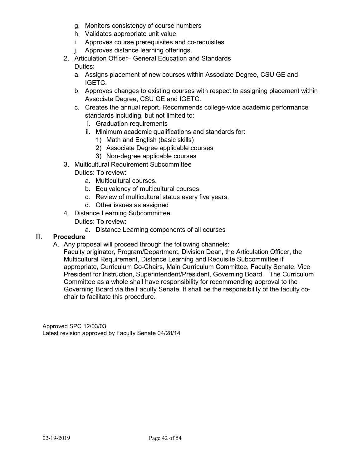- g. Monitors consistency of course numbers
- h. Validates appropriate unit value
- i. Approves course prerequisites and co-requisites
- j. Approves distance learning offerings.
- 2. Articulation Officer– General Education and Standards

#### Duties:

- a. Assigns placement of new courses within Associate Degree, CSU GE and IGETC.
- b. Approves changes to existing courses with respect to assigning placement within Associate Degree, CSU GE and IGETC.
- c. Creates the annual report. Recommends college-wide academic performance standards including, but not limited to:
	- i. Graduation requirements
	- ii. Minimum academic qualifications and standards for:
		- 1) Math and English (basic skills)
		- 2) Associate Degree applicable courses
		- 3) Non-degree applicable courses
- 3. Multicultural Requirement Subcommittee

#### Duties: To review:

- a. Multicultural courses.
- b. Equivalency of multicultural courses.
- c. Review of multicultural status every five years.
- d. Other issues as assigned
- 4. Distance Learning Subcommittee
	- Duties: To review:
		- a. Distance Learning components of all courses

#### III. **Procedure**

A. Any proposal will proceed through the following channels:

Faculty originator, Program/Department, Division Dean, the Articulation Officer, the Multicultural Requirement, Distance Learning and Requisite Subcommittee if appropriate, Curriculum Co-Chairs, Main Curriculum Committee, Faculty Senate, Vice President for Instruction, Superintendent/President, Governing Board. The Curriculum Committee as a whole shall have responsibility for recommending approval to the Governing Board via the Faculty Senate. It shall be the responsibility of the faculty cochair to facilitate this procedure.

Approved SPC 12/03/03 Latest revision approved by Faculty Senate 04/28/14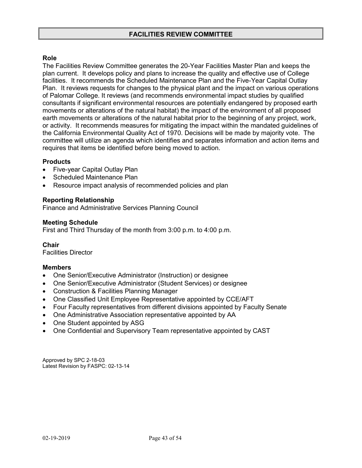#### **Role**

The Facilities Review Committee generates the 20-Year Facilities Master Plan and keeps the plan current. It develops policy and plans to increase the quality and effective use of College facilities. It recommends the Scheduled Maintenance Plan and the Five-Year Capital Outlay Plan. It reviews requests for changes to the physical plant and the impact on various operations of Palomar College. It reviews (and recommends environmental impact studies by qualified consultants if significant environmental resources are potentially endangered by proposed earth movements or alterations of the natural habitat) the impact of the environment of all proposed earth movements or alterations of the natural habitat prior to the beginning of any project, work, or activity. It recommends measures for mitigating the impact within the mandated guidelines of the California Environmental Quality Act of 1970. Decisions will be made by majority vote. The committee will utilize an agenda which identifies and separates information and action items and requires that items be identified before being moved to action.

#### **Products**

- Five-year Capital Outlay Plan
- Scheduled Maintenance Plan
- Resource impact analysis of recommended policies and plan

#### **Reporting Relationship**

Finance and Administrative Services Planning Council

#### **Meeting Schedule**

First and Third Thursday of the month from 3:00 p.m. to 4:00 p.m.

**Chair** Facilities Director

#### **Members**

- One Senior/Executive Administrator (Instruction) or designee
- One Senior/Executive Administrator (Student Services) or designee
- Construction & Facilities Planning Manager
- One Classified Unit Employee Representative appointed by CCE/AFT
- Four Faculty representatives from different divisions appointed by Faculty Senate
- One Administrative Association representative appointed by AA
- One Student appointed by ASG
- One Confidential and Supervisory Team representative appointed by CAST

Approved by SPC 2-18-03 Latest Revision by FASPC: 02-13-14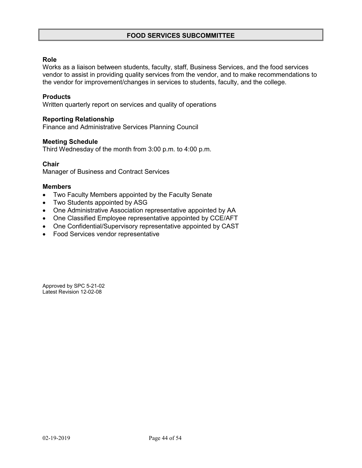#### **FOOD SERVICES SUBCOMMITTEE**

#### **Role**

Works as a liaison between students, faculty, staff, Business Services, and the food services vendor to assist in providing quality services from the vendor, and to make recommendations to the vendor for improvement/changes in services to students, faculty, and the college.

#### **Products**

Written quarterly report on services and quality of operations

#### **Reporting Relationship**

Finance and Administrative Services Planning Council

#### **Meeting Schedule**

Third Wednesday of the month from 3:00 p.m. to 4:00 p.m.

#### **Chair**

Manager of Business and Contract Services

#### **Members**

- Two Faculty Members appointed by the Faculty Senate
- Two Students appointed by ASG
- One Administrative Association representative appointed by AA
- One Classified Employee representative appointed by CCE/AFT
- One Confidential/Supervisory representative appointed by CAST
- Food Services vendor representative

Approved by SPC 5-21-02 Latest Revision 12-02-08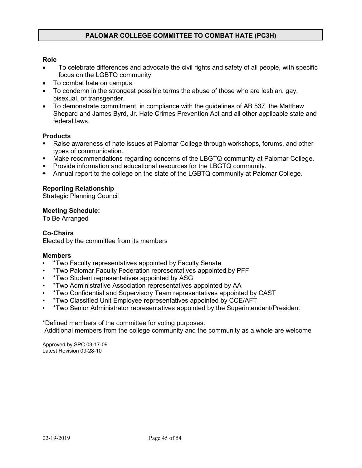#### **PALOMAR COLLEGE COMMITTEE TO COMBAT HATE (PC3H)**

#### **Role**

- To celebrate differences and advocate the civil rights and safety of all people, with specific focus on the LGBTQ community.
- To combat hate on campus.
- To condemn in the strongest possible terms the abuse of those who are lesbian, gay, bisexual, or transgender.
- To demonstrate commitment, in compliance with the guidelines of AB 537, the Matthew Shepard and James Byrd, Jr. Hate Crimes Prevention Act and all other applicable state and federal laws.

#### **Products**

- Raise awareness of hate issues at Palomar College through workshops, forums, and other types of communication.
- Make recommendations regarding concerns of the LBGTQ community at Palomar College.
- **Provide information and educational resources for the LBGTQ community.**
- Annual report to the college on the state of the LGBTQ community at Palomar College.

#### **Reporting Relationship**

Strategic Planning Council

#### **Meeting Schedule:**

To Be Arranged

#### **Co-Chairs**

Elected by the committee from its members

#### **Members**

- \*Two Faculty representatives appointed by Faculty Senate
- \*Two Palomar Faculty Federation representatives appointed by PFF
- \*Two Student representatives appointed by ASG
- \*Two Administrative Association representatives appointed by AA
- \*Two Confidential and Supervisory Team representatives appointed by CAST
- \*Two Classified Unit Employee representatives appointed by CCE/AFT
- \*Two Senior Administrator representatives appointed by the Superintendent/President

\*Defined members of the committee for voting purposes. Additional members from the college community and the community as a whole are welcome

Approved by SPC 03-17-09 Latest Revision 09-28-10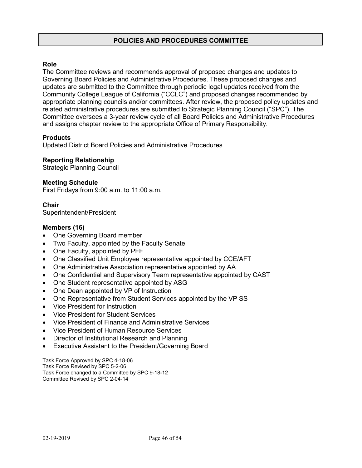#### **POLICIES AND PROCEDURES COMMITTEE**

#### **Role**

The Committee reviews and recommends approval of proposed changes and updates to Governing Board Policies and Administrative Procedures. These proposed changes and updates are submitted to the Committee through periodic legal updates received from the Community College League of California ("CCLC") and proposed changes recommended by appropriate planning councils and/or committees. After review, the proposed policy updates and related administrative procedures are submitted to Strategic Planning Council ("SPC"). The Committee oversees a 3-year review cycle of all Board Policies and Administrative Procedures and assigns chapter review to the appropriate Office of Primary Responsibility.

#### **Products**

Updated District Board Policies and Administrative Procedures

#### **Reporting Relationship**

Strategic Planning Council

#### **Meeting Schedule**

First Fridays from 9:00 a.m. to 11:00 a.m.

#### **Chair**

Superintendent/President

#### **Members (16)**

- One Governing Board member
- Two Faculty, appointed by the Faculty Senate
- One Faculty, appointed by PFF
- One Classified Unit Employee representative appointed by CCE/AFT
- One Administrative Association representative appointed by AA
- One Confidential and Supervisory Team representative appointed by CAST
- One Student representative appointed by ASG
- One Dean appointed by VP of Instruction
- One Representative from Student Services appointed by the VP SS
- Vice President for Instruction
- Vice President for Student Services
- Vice President of Finance and Administrative Services
- Vice President of Human Resource Services
- Director of Institutional Research and Planning
- Executive Assistant to the President/Governing Board

Task Force Approved by SPC 4-18-06 Task Force Revised by SPC 5-2-06 Task Force changed to a Committee by SPC 9-18-12 Committee Revised by SPC 2-04-14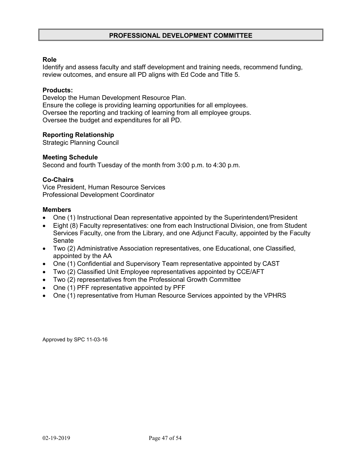#### **PROFESSIONAL DEVELOPMENT COMMITTEE**

#### **Role**

Identify and assess faculty and staff development and training needs, recommend funding, review outcomes, and ensure all PD aligns with Ed Code and Title 5.

#### **Products:**

Develop the Human Development Resource Plan. Ensure the college is providing learning opportunities for all employees. Oversee the reporting and tracking of learning from all employee groups. Oversee the budget and expenditures for all PD.

#### **Reporting Relationship**

Strategic Planning Council

#### **Meeting Schedule**

Second and fourth Tuesday of the month from 3:00 p.m. to 4:30 p.m.

#### **Co-Chairs**

Vice President, Human Resource Services Professional Development Coordinator

#### **Members**

- One (1) Instructional Dean representative appointed by the Superintendent/President
- Eight (8) Faculty representatives: one from each Instructional Division, one from Student Services Faculty, one from the Library, and one Adjunct Faculty, appointed by the Faculty Senate
- Two (2) Administrative Association representatives, one Educational, one Classified, appointed by the AA
- One (1) Confidential and Supervisory Team representative appointed by CAST
- Two (2) Classified Unit Employee representatives appointed by CCE/AFT
- Two (2) representatives from the Professional Growth Committee
- One (1) PFF representative appointed by PFF
- One (1) representative from Human Resource Services appointed by the VPHRS

Approved by SPC 11-03-16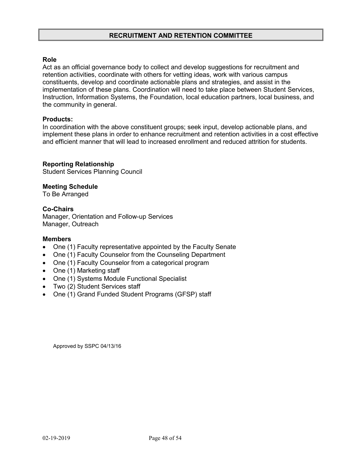#### **RECRUITMENT AND RETENTION COMMITTEE**

#### **Role**

Act as an official governance body to collect and develop suggestions for recruitment and retention activities, coordinate with others for vetting ideas, work with various campus constituents, develop and coordinate actionable plans and strategies, and assist in the implementation of these plans. Coordination will need to take place between Student Services, Instruction, Information Systems, the Foundation, local education partners, local business, and the community in general.

#### **Products:**

In coordination with the above constituent groups; seek input, develop actionable plans, and implement these plans in order to enhance recruitment and retention activities in a cost effective and efficient manner that will lead to increased enrollment and reduced attrition for students.

#### **Reporting Relationship**

Student Services Planning Council

#### **Meeting Schedule**

To Be Arranged

#### **Co-Chairs**

Manager, Orientation and Follow-up Services Manager, Outreach

#### **Members**

- One (1) Faculty representative appointed by the Faculty Senate
- One (1) Faculty Counselor from the Counseling Department
- One (1) Faculty Counselor from a categorical program
- One (1) Marketing staff
- One (1) Systems Module Functional Specialist
- Two (2) Student Services staff
- One (1) Grand Funded Student Programs (GFSP) staff

Approved by SSPC 04/13/16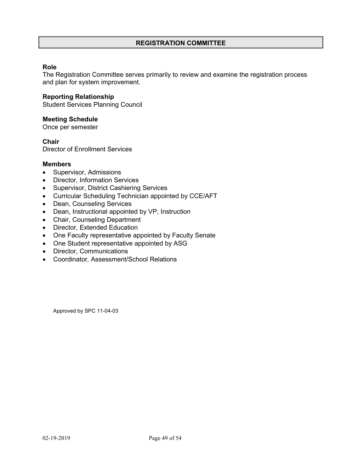#### **REGISTRATION COMMITTEE**

#### **Role**

The Registration Committee serves primarily to review and examine the registration process and plan for system improvement.

#### **Reporting Relationship**

Student Services Planning Council

#### **Meeting Schedule**

Once per semester

**Chair**

Director of Enrollment Services

#### **Members**

- Supervisor, Admissions
- Director, Information Services
- Supervisor, District Cashiering Services
- Curricular Scheduling Technician appointed by CCE/AFT
- Dean, Counseling Services
- Dean, Instructional appointed by VP, Instruction
- Chair, Counseling Department
- Director, Extended Education
- One Faculty representative appointed by Faculty Senate
- One Student representative appointed by ASG
- Director, Communications
- Coordinator, Assessment/School Relations

Approved by SPC 11-04-03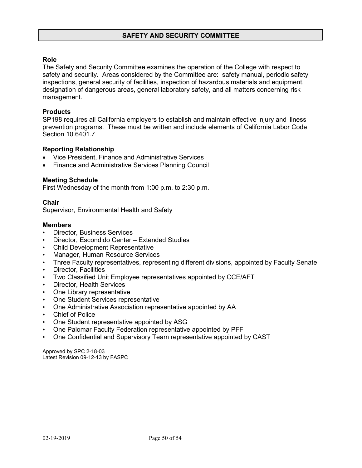#### **Role**

The Safety and Security Committee examines the operation of the College with respect to safety and security. Areas considered by the Committee are: safety manual, periodic safety inspections, general security of facilities, inspection of hazardous materials and equipment, designation of dangerous areas, general laboratory safety, and all matters concerning risk management.

#### **Products**

SP198 requires all California employers to establish and maintain effective injury and illness prevention programs. These must be written and include elements of California Labor Code Section 10.6401.7

#### **Reporting Relationship**

- Vice President, Finance and Administrative Services
- Finance and Administrative Services Planning Council

#### **Meeting Schedule**

First Wednesday of the month from 1:00 p.m. to 2:30 p.m.

#### **Chair**

Supervisor, Environmental Health and Safety

#### **Members**

- Director, Business Services
- Director, Escondido Center Extended Studies
- Child Development Representative
- Manager, Human Resource Services
- Three Faculty representatives, representing different divisions, appointed by Faculty Senate
- Director, Facilities
- Two Classified Unit Employee representatives appointed by CCE/AFT
- Director, Health Services
- One Library representative
- One Student Services representative
- One Administrative Association representative appointed by AA
- **Chief of Police**
- One Student representative appointed by ASG
- One Palomar Faculty Federation representative appointed by PFF
- One Confidential and Supervisory Team representative appointed by CAST

Approved by SPC 2-18-03 Latest Revision 09-12-13 by FASPC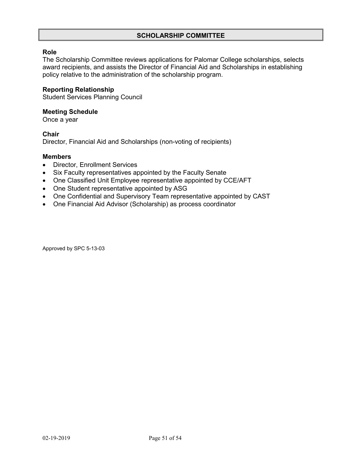#### **SCHOLARSHIP COMMITTEE**

#### **Role**

The Scholarship Committee reviews applications for Palomar College scholarships, selects award recipients, and assists the Director of Financial Aid and Scholarships in establishing policy relative to the administration of the scholarship program.

#### **Reporting Relationship**

Student Services Planning Council

#### **Meeting Schedule**

Once a year

#### **Chair**

Director, Financial Aid and Scholarships (non-voting of recipients)

#### **Members**

- Director, Enrollment Services
- Six Faculty representatives appointed by the Faculty Senate
- One Classified Unit Employee representative appointed by CCE/AFT
- One Student representative appointed by ASG
- One Confidential and Supervisory Team representative appointed by CAST
- One Financial Aid Advisor (Scholarship) as process coordinator

Approved by SPC 5-13-03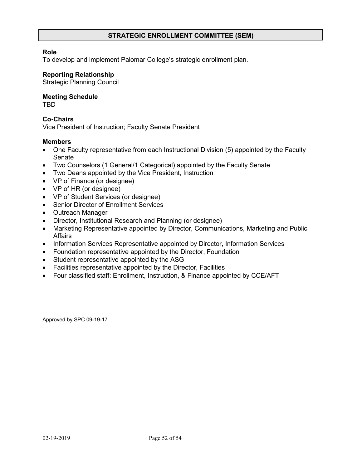#### **STRATEGIC ENROLLMENT COMMITTEE (SEM)**

#### **Role**

To develop and implement Palomar College's strategic enrollment plan.

#### **Reporting Relationship**

Strategic Planning Council

#### **Meeting Schedule**

TBD

#### **Co-Chairs**

Vice President of Instruction; Faculty Senate President

#### **Members**

- One Faculty representative from each Instructional Division (5) appointed by the Faculty Senate
- Two Counselors (1 General/1 Categorical) appointed by the Faculty Senate
- Two Deans appointed by the Vice President, Instruction
- VP of Finance (or designee)
- VP of HR (or designee)
- VP of Student Services (or designee)
- Senior Director of Enrollment Services
- Outreach Manager
- Director, Institutional Research and Planning (or designee)
- Marketing Representative appointed by Director, Communications, Marketing and Public Affairs
- Information Services Representative appointed by Director, Information Services
- Foundation representative appointed by the Director, Foundation
- Student representative appointed by the ASG
- Facilities representative appointed by the Director, Facilities
- Four classified staff: Enrollment, Instruction, & Finance appointed by CCE/AFT

Approved by SPC 09-19-17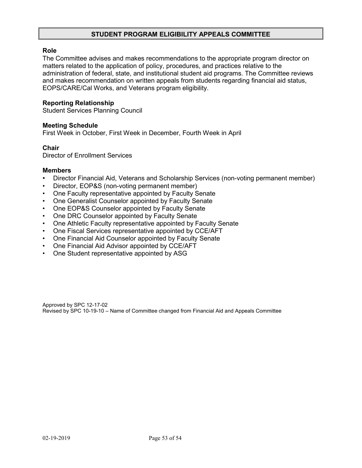#### **STUDENT PROGRAM ELIGIBILITY APPEALS COMMITTEE**

#### **Role**

The Committee advises and makes recommendations to the appropriate program director on matters related to the application of policy, procedures, and practices relative to the administration of federal, state, and institutional student aid programs. The Committee reviews and makes recommendation on written appeals from students regarding financial aid status, EOPS/CARE/Cal Works, and Veterans program eligibility.

#### **Reporting Relationship**

Student Services Planning Council

#### **Meeting Schedule**

First Week in October, First Week in December, Fourth Week in April

#### **Chair**

Director of Enrollment Services

#### **Members**

- Director Financial Aid, Veterans and Scholarship Services (non-voting permanent member)
- Director, EOP&S (non-voting permanent member)
- One Faculty representative appointed by Faculty Senate
- One Generalist Counselor appointed by Faculty Senate
- One EOP&S Counselor appointed by Faculty Senate
- One DRC Counselor appointed by Faculty Senate
- One Athletic Faculty representative appointed by Faculty Senate
- One Fiscal Services representative appointed by CCE/AFT
- One Financial Aid Counselor appointed by Faculty Senate
- One Financial Aid Advisor appointed by CCE/AFT
- One Student representative appointed by ASG

Approved by SPC 12-17-02 Revised by SPC 10-19-10 – Name of Committee changed from Financial Aid and Appeals Committee